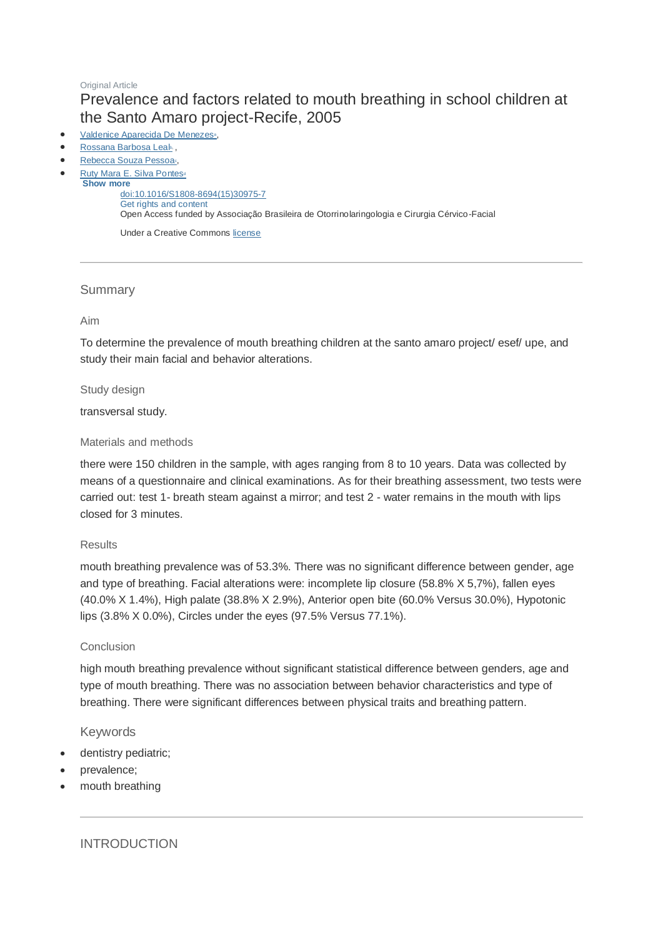## **Original Article** Prevalence and factors related to mouth breathing in school children at the Santo Amaro project-Recife, 2005

- [Valdenice Aparecida De Menezes](http://www.sciencedirect.com/science/article/pii/S1808869415309757)<sup>a</sup>[,](http://www.sciencedirect.com/science/article/pii/S1808869415309757)
- [Rossana Barbosa Leal](http://www.sciencedirect.com/science/article/pii/S1808869415309757)»,
- [Rebecca Souza Pessoa](http://www.sciencedirect.com/science/article/pii/S1808869415309757)<sup>c</sup>[,](http://www.sciencedirect.com/science/article/pii/S1808869415309757)
- [Ruty Mara E. Silva Pontes](http://www.sciencedirect.com/science/article/pii/S1808869415309757)<sup>d</sup> **Show more**

[doi:10.1016/S1808-8694\(15\)30975-7](http://dx.doi.org/10.1016/S1808-8694(15)30975-7) [Get rights and content](https://s100.copyright.com/AppDispatchServlet?publisherName=ELS&contentID=S1808869415309757&orderBeanReset=true) Open Access funded by Associação Brasileira de Otorrinolaringologia e Cirurgia Cérvico-Facial

Under a Creative Commons [license](http://creativecommons.org/licenses/by/4.0/)

## **Summary**

## Aim

To determine the prevalence of mouth breathing children at the santo amaro project/ esef/ upe, and study their main facial and behavior alterations.

Study design

transversal study.

## Materials and methods

there were 150 children in the sample, with ages ranging from 8 to 10 years. Data was collected by means of a questionnaire and clinical examinations. As for their breathing assessment, two tests were carried out: test 1- breath steam against a mirror; and test 2 - water remains in the mouth with lips closed for 3 minutes.

## **Results**

mouth breathing prevalence was of 53.3%. There was no significant difference between gender, age and type of breathing. Facial alterations were: incomplete lip closure (58.8% X 5,7%), fallen eyes (40.0% X 1.4%), High palate (38.8% X 2.9%), Anterior open bite (60.0% Versus 30.0%), Hypotonic lips (3.8% X 0.0%), Circles under the eyes (97.5% Versus 77.1%).

## **Conclusion**

high mouth breathing prevalence without significant statistical difference between genders, age and type of mouth breathing. There was no association between behavior characteristics and type of breathing. There were significant differences between physical traits and breathing pattern.

## Keywords

- dentistry pediatric;
- prevalence;
- mouth breathing

INTRODUCTION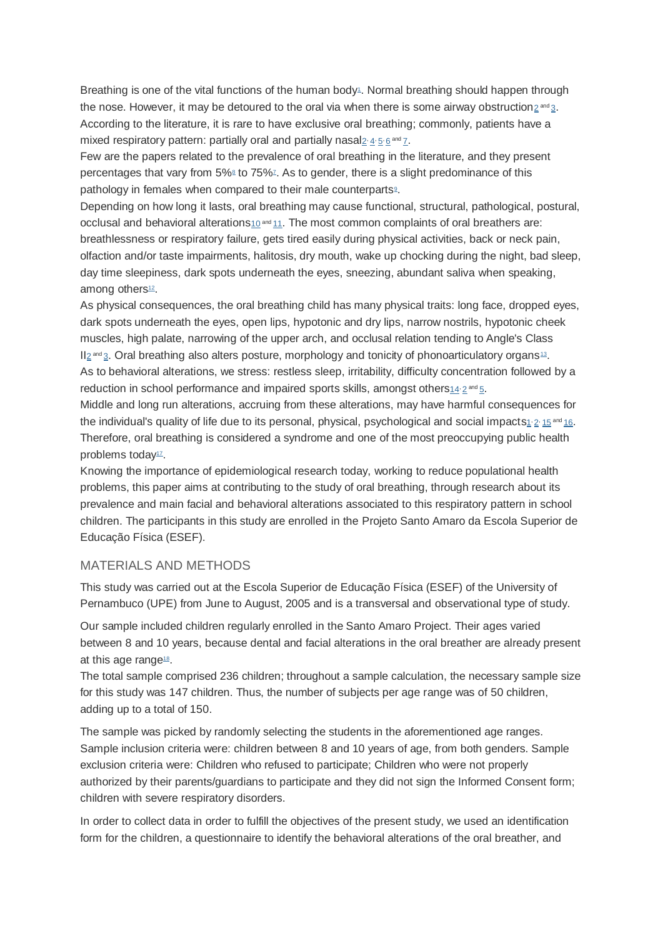Breathing is one of the vital functions of the human bod[y](http://www.sciencedirect.com/science/article/pii/S1808869415309757#bib1)<sup>1</sup>. Normal breathing should happen through the nose. However, it may be detoured to the oral via when there is some airway obstruction $_2$  $_2$   $\scriptstyle{{\text{and}}\,3.}$  $\scriptstyle{{\text{and}}\,3.}$  $\scriptstyle{{\text{and}}\,3.}$ According to the literature, it is rare to have exclusive oral breathing; commonly, patients have a mixed respiratory pattern: partially oral and partially nasal $_2$  $_2$  [4](http://www.sciencedirect.com/science/article/pii/S1808869415309757#bib4)  $_5$  $_5$  [6](http://www.sciencedirect.com/science/article/pii/S1808869415309757#bib6) and  $_7$  $_7$ .

Few are the papers related to the prevalence of oral breathing in the literature, and they present percentages that vary from 5[%](http://www.sciencedirect.com/science/article/pii/S1808869415309757#bib7)<sup>8</sup> to 75%<sup>7</sup>. As to gender, there is a slight predominance of this pathology in females when compared to their male counterparts<sup>®</sup>[.](http://www.sciencedirect.com/science/article/pii/S1808869415309757#bib9)

Depending on how long it lasts, oral breathing may cause functional, structural, pathological, postural, occlusal and behavioral alterations $10^{and}11$  $10^{and}11$  $10^{and}11$ . The most common complaints of oral breathers are: breathlessness or respiratory failure, gets tired easily during physical activities, back or neck pain, olfaction and/or taste impairments, halitosis, dry mouth, wake up chocking during the night, bad sleep, day time sleepiness, dark spots underneath the eyes, sneezing, abundant saliva when speaking, among others<sup>[12](http://www.sciencedirect.com/science/article/pii/S1808869415309757#bib12)</sup>.

As physical consequences, the oral breathing child has many physical traits: long face, dropped eyes, dark spots underneath the eyes, open lips, hypotonic and dry lips, narrow nostrils, hypotonic cheek muscles, high palate, narrowing of the upper arch, and occlusal relation tending to Angle's Class II<sub>[2](http://www.sciencedirect.com/science/article/pii/S1808869415309757#bib2)</sub> and [3](http://www.sciencedirect.com/science/article/pii/S1808869415309757#bib3). Oral breathing also alters posture, morphology and tonicity of phonoarticulatory organs<sup>[13](http://www.sciencedirect.com/science/article/pii/S1808869415309757#bib13)</sup>. As to behavioral alterations, we stress: restless sleep, irritability, difficulty concentration followed by a reduction in school performance and impaired sports skills, amongst others $_4$  and  $_5$  $_5$ .

Middle and long run alterations, accruing from these alterations, may have harmful consequences for the individual'[s](http://www.sciencedirect.com/science/article/pii/S1808869415309757#bib1) quality of life due to its personal, physical, psychological and social impacts<u>1,[2](http://www.sciencedirect.com/science/article/pii/S1808869415309757#bib2),[15](http://www.sciencedirect.com/science/article/pii/S1808869415309757#bib15) and [16](http://www.sciencedirect.com/science/article/pii/S1808869415309757#bib16)</u>. Therefore, oral breathing is considered a syndrome and one of the most preoccupying public health problems today<sup>[17](http://www.sciencedirect.com/science/article/pii/S1808869415309757#bib17)</sup>.

Knowing the importance of epidemiological research today, working to reduce populational health problems, this paper aims at contributing to the study of oral breathing, through research about its prevalence and main facial and behavioral alterations associated to this respiratory pattern in school children. The participants in this study are enrolled in the Projeto Santo Amaro da Escola Superior de Educação Física (ESEF).

## MATERIALS AND METHODS

This study was carried out at the Escola Superior de Educação Física (ESEF) of the University of Pernambuco (UPE) from June to August, 2005 and is a transversal and observational type of study.

Our sample included children regularly enrolled in the Santo Amaro Project. Their ages varied between 8 and 10 years, because dental and facial alterations in the oral breather are already present at this age range<sup>[18](http://www.sciencedirect.com/science/article/pii/S1808869415309757#bib18)</sup>.

The total sample comprised 236 children; throughout a sample calculation, the necessary sample size for this study was 147 children. Thus, the number of subjects per age range was of 50 children, adding up to a total of 150.

The sample was picked by randomly selecting the students in the aforementioned age ranges. Sample inclusion criteria were: children between 8 and 10 years of age, from both genders. Sample exclusion criteria were: Children who refused to participate; Children who were not properly authorized by their parents/guardians to participate and they did not sign the Informed Consent form; children with severe respiratory disorders.

In order to collect data in order to fulfill the objectives of the present study, we used an identification form for the children, a questionnaire to identify the behavioral alterations of the oral breather, and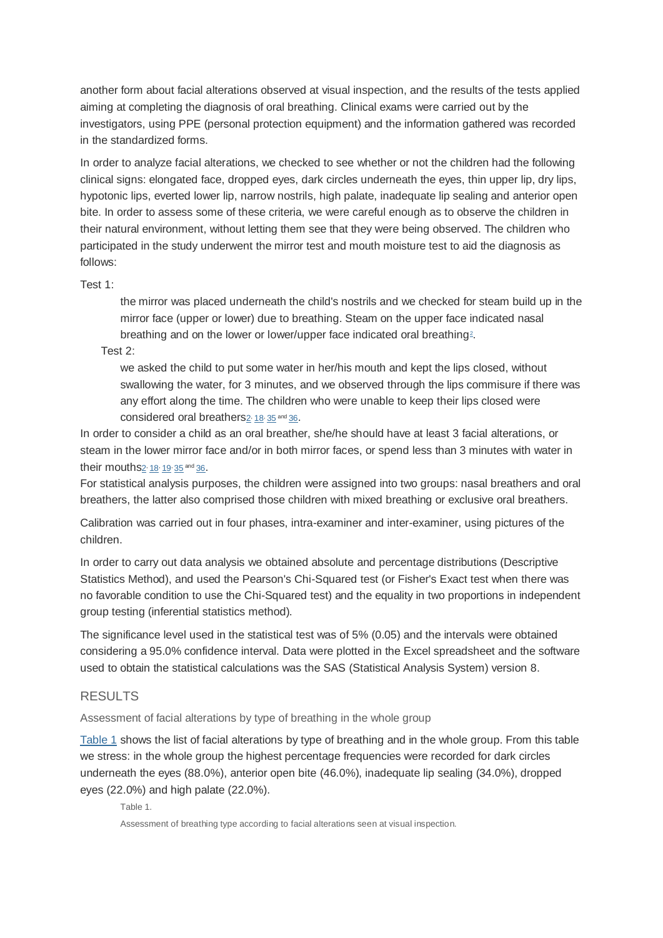another form about facial alterations observed at visual inspection, and the results of the tests applied aiming at completing the diagnosis of oral breathing. Clinical exams were carried out by the investigators, using PPE (personal protection equipment) and the information gathered was recorded in the standardized forms.

In order to analyze facial alterations, we checked to see whether or not the children had the following clinical signs: elongated face, dropped eyes, dark circles underneath the eyes, thin upper lip, dry lips, hypotonic lips, everted lower lip, narrow nostrils, high palate, inadequate lip sealing and anterior open bite. In order to assess some of these criteria, we were careful enough as to observe the children in their natural environment, without letting them see that they were being observed. The children who participated in the study underwent the mirror test and mouth moisture test to aid the diagnosis as follows:

Test 1:

the mirror was placed underneath the child's nostrils and we checked for steam build up in the mirror face (upper or lower) due to breathing. Steam on the upper face indicated nasal breathin[g](http://www.sciencedirect.com/science/article/pii/S1808869415309757#bib2) and on the lower or lower/upper face indicated oral breathing<sup>2</sup>.

Test 2:

we asked the child to put some water in her/his mouth and kept the lips closed, without swallowing the water, for 3 minutes, and we observed through the lips commisure if there was any effort along the time. The children who were unable to keep their lips closed were considered oral breathers<sub>[2](http://www.sciencedirect.com/science/article/pii/S1808869415309757#bib2)</sub>, [18](http://www.sciencedirect.com/science/article/pii/S1808869415309757#bib18), [35](http://www.sciencedirect.com/science/article/pii/S1808869415309757#bib35) and [36](http://www.sciencedirect.com/science/article/pii/S1808869415309757#bib36).

In order to consider a child as an oral breather, she/he should have at least 3 facial alterations, or steam in the lower mirror face and/or in both mirror faces, or spend less than 3 minutes with water in their mouths<sup>[2](http://www.sciencedirect.com/science/article/pii/S1808869415309757#bib2)</sup> [18](http://www.sciencedirect.com/science/article/pii/S1808869415309757#bib18)<sup>,</sup> [19](http://www.sciencedirect.com/science/article/pii/S1808869415309757#bib19) [35](http://www.sciencedirect.com/science/article/pii/S1808869415309757#bib35) and [36](http://www.sciencedirect.com/science/article/pii/S1808869415309757#bib36).

For statistical analysis purposes, the children were assigned into two groups: nasal breathers and oral breathers, the latter also comprised those children with mixed breathing or exclusive oral breathers.

Calibration was carried out in four phases, intra-examiner and inter-examiner, using pictures of the children.

In order to carry out data analysis we obtained absolute and percentage distributions (Descriptive Statistics Method), and used the Pearson's Chi-Squared test (or Fisher's Exact test when there was no favorable condition to use the Chi-Squared test) and the equality in two proportions in independent group testing (inferential statistics method).

The significance level used in the statistical test was of 5% (0.05) and the intervals were obtained considering a 95.0% confidence interval. Data were plotted in the Excel spreadsheet and the software used to obtain the statistical calculations was the SAS (Statistical Analysis System) version 8.

## RESULTS

Assessment of facial alterations by type of breathing in the whole group

[Table 1](http://www.sciencedirect.com/science/article/pii/S1808869415309757#cetable1) shows the list of facial alterations by type of breathing and in the whole group. From this table we stress: in the whole group the highest percentage frequencies were recorded for dark circles underneath the eyes (88.0%), anterior open bite (46.0%), inadequate lip sealing (34.0%), dropped eyes (22.0%) and high palate (22.0%).

Table 1.

Assessment of breathing type according to facial alterations seen at visual inspection.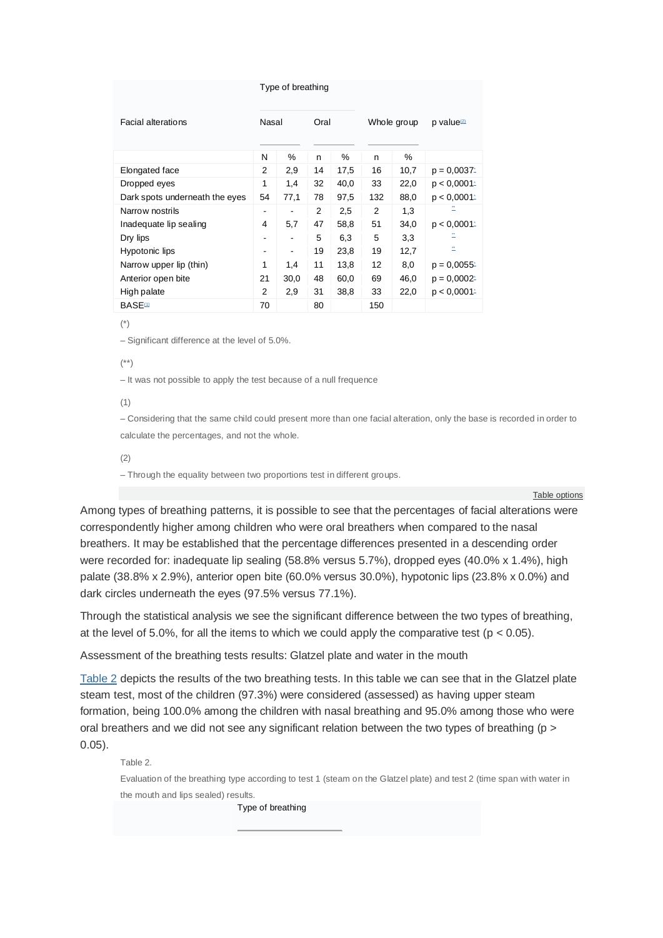#### Type of breathing

| Facial alterations             | Nasal                    |      | Oral |      | Whole group    |      | p value <sup>2</sup> |
|--------------------------------|--------------------------|------|------|------|----------------|------|----------------------|
|                                |                          |      |      |      |                |      |                      |
|                                | N                        | $\%$ | n    | %    | n              | %    |                      |
| Elongated face                 | 2                        | 2,9  | 14   | 17.5 | 16             | 10,7 | $p = 0.0037$         |
| Dropped eyes                   | 1                        | 1,4  | 32   | 40,0 | 33             | 22,0 | p < 0.0001           |
| Dark spots underneath the eyes | 54                       | 77,1 | 78   | 97.5 | 132            | 88.0 | p < 0.0001           |
| Narrow nostrils                | $\overline{\phantom{0}}$ |      | 2    | 2,5  | $\overline{2}$ | 1,3  | -                    |
| Inadequate lip sealing         | 4                        | 5,7  | 47   | 58.8 | 51             | 34,0 | p < 0.0001           |
| Dry lips                       | $\overline{\phantom{0}}$ |      | 5    | 6,3  | 5              | 3,3  |                      |
| Hypotonic lips                 | -                        | -    | 19   | 23,8 | 19             | 12,7 | $+ +$                |
| Narrow upper lip (thin)        | 1                        | 1,4  | 11   | 13,8 | 12             | 8,0  | $p = 0.0055$         |
| Anterior open bite             | 21                       | 30,0 | 48   | 60,0 | 69             | 46.0 | $p = 0.0002$         |
| High palate                    | $\overline{2}$           | 2,9  | 31   | 38,8 | 33             | 22,0 | p < 0.0001           |
| <b>BASE</b> <sup>1</sup>       | 70                       |      | 80   |      | 150            |      |                      |

(\*)

– Significant difference at the level of 5.0%.

## (\*\*)

– It was not possible to apply the test because of a null frequence

#### (1)

– Considering that the same child could present more than one facial alteration, only the base is recorded in order to calculate the percentages, and not the whole.

(2)

– Through the equality between two proportions test in different groups.

[Table options](http://www.sciencedirect.com/science/article/pii/S1808869415309757)

Among types of breathing patterns, it is possible to see that the percentages of facial alterations were correspondently higher among children who were oral breathers when compared to the nasal breathers. It may be established that the percentage differences presented in a descending order were recorded for: inadequate lip sealing (58.8% versus 5.7%), dropped eyes (40.0% x 1.4%), high palate (38.8% x 2.9%), anterior open bite (60.0% versus 30.0%), hypotonic lips (23.8% x 0.0%) and dark circles underneath the eyes (97.5% versus 77.1%).

Through the statistical analysis we see the significant difference between the two types of breathing, at the level of 5.0%, for all the items to which we could apply the comparative test ( $p < 0.05$ ).

Assessment of the breathing tests results: Glatzel plate and water in the mouth

[Table 2](http://www.sciencedirect.com/science/article/pii/S1808869415309757#cetable2) depicts the results of the two breathing tests. In this table we can see that in the Glatzel plate steam test, most of the children (97.3%) were considered (assessed) as having upper steam formation, being 100.0% among the children with nasal breathing and 95.0% among those who were oral breathers and we did not see any significant relation between the two types of breathing ( $p >$ 0.05).

Table 2.

Evaluation of the breathing type according to test 1 (steam on the Glatzel plate) and test 2 (time span with water in the mouth and lips sealed) results.

Type of breathing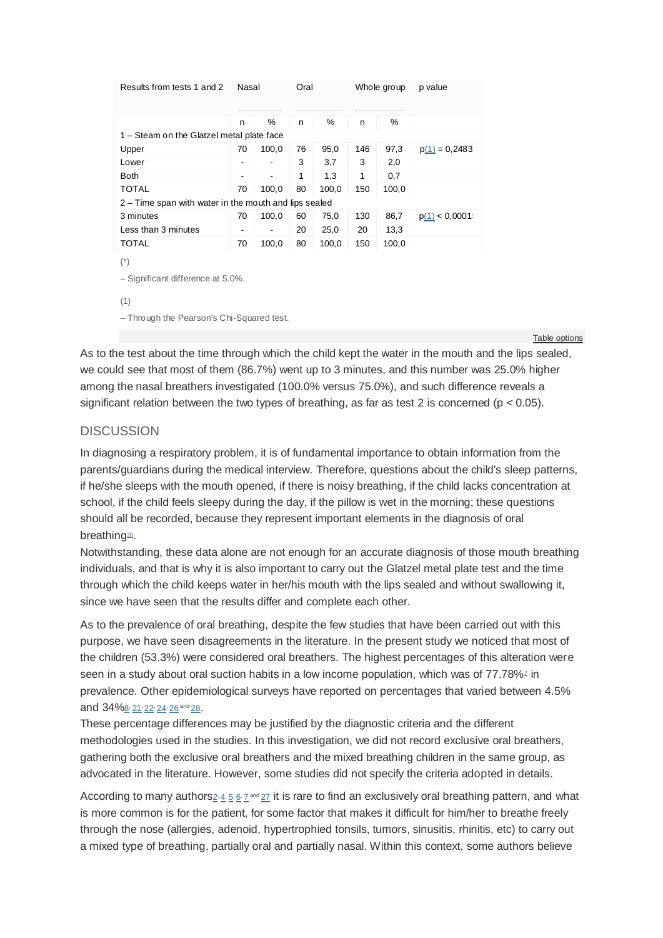| Results from tests 1 and 2                            | Nasal |                              | Oral |       | Whole group |       | p value         |  |  |  |  |  |  |
|-------------------------------------------------------|-------|------------------------------|------|-------|-------------|-------|-----------------|--|--|--|--|--|--|
|                                                       |       |                              |      |       |             |       |                 |  |  |  |  |  |  |
|                                                       | n     | %                            | n    | %     | n           | $\%$  |                 |  |  |  |  |  |  |
| 1 – Steam on the Glatzel metal plate face             |       |                              |      |       |             |       |                 |  |  |  |  |  |  |
| Upper                                                 | 70    | 100,0                        | 76   | 95,0  | 146         | 97,3  | $p(1) = 0,2483$ |  |  |  |  |  |  |
| Lower                                                 | -     | $\overline{\phantom{a}}$     | 3    | 3,7   | 3           | 2,0   |                 |  |  |  |  |  |  |
| <b>Both</b>                                           | -     | $\qquad \qquad \blacksquare$ | 1    | 1,3   | 1           | 0,7   |                 |  |  |  |  |  |  |
| <b>TOTAL</b>                                          | 70    | 100,0                        | 80   | 100,0 | 150         | 100,0 |                 |  |  |  |  |  |  |
| 2 – Time span with water in the mouth and lips sealed |       |                              |      |       |             |       |                 |  |  |  |  |  |  |
| 3 minutes                                             | 70    | 100,0                        | 60   | 75,0  | 130         | 86,7  | p(1) < 0.0001   |  |  |  |  |  |  |
| Less than 3 minutes                                   | -     | ۰                            | 20   | 25,0  | 20          | 13,3  |                 |  |  |  |  |  |  |
| TOTAL                                                 | 70    | 100,0                        | 80   | 100,0 | 150         | 100,0 |                 |  |  |  |  |  |  |
| $(\dot{\phantom{a}})$                                 |       |                              |      |       |             |       |                 |  |  |  |  |  |  |
|                                                       |       |                              |      |       |             |       |                 |  |  |  |  |  |  |
| $-$ Significant difference at 5.0%.                   |       |                              |      |       |             |       |                 |  |  |  |  |  |  |
| (1)                                                   |       |                              |      |       |             |       |                 |  |  |  |  |  |  |
|                                                       |       |                              |      |       |             |       |                 |  |  |  |  |  |  |
| - Through the Pearson's Chi-Squared test.             |       |                              |      |       |             |       |                 |  |  |  |  |  |  |

[Table options](http://www.sciencedirect.com/science/article/pii/S1808869415309757)

As to the test about the time through which the child kept the water in the mouth and the lips sealed, we could see that most of them (86.7%) went up to 3 minutes, and this number was 25.0% higher among the nasal breathers investigated (100.0% versus 75.0%), and such difference reveals a significant relation between the two types of breathing, as far as test 2 is concerned ( $p < 0.05$ ).

## **DISCUSSION**

In diagnosing a respiratory problem, it is of fundamental importance to obtain information from the parents/guardians during the medical interview. Therefore, questions about the child's sleep patterns, if he/she sleeps with the mouth opened, if there is noisy breathing, if the child lacks concentration at school, if the child feels sleepy during the day, if the pillow is wet in the morning; these questions should all be recorded, because they represent important elements in the diagnosis of oral breathin[g](http://www.sciencedirect.com/science/article/pii/S1808869415309757#bib20)<sup>20</sup>.

Notwithstanding, these data alone are not enough for an accurate diagnosis of those mouth breathing individuals, and that is why it is also important to carry out the Glatzel metal plate test and the time through which the child keeps water in her/his mouth with the lips sealed and without swallowing it, since we have seen that the results differ and complete each other.

As to the prevalence of oral breathing, despite the few studies that have been carried out with this purpose, we have seen disagreements in the literature. In the present study we noticed that most of the children (53.3%) were considered oral breathers. The highest percentages of this alteration were seen in a study about oral suction habits in a low income population, which was of  $77.78\%$  $77.78\%$  in prevalence. Other epidemiological surveys have reported on percentages that varied between 4.5% and 34%[8](http://www.sciencedirect.com/science/article/pii/S1808869415309757#bib8), [21](http://www.sciencedirect.com/science/article/pii/S1808869415309757#bib21), [22](http://www.sciencedirect.com/science/article/pii/S1808869415309757#bib22), [24](http://www.sciencedirect.com/science/article/pii/S1808869415309757#bib24), [26](http://www.sciencedirect.com/science/article/pii/S1808869415309757#bib26) and [28](http://www.sciencedirect.com/science/article/pii/S1808869415309757#bib28).

These percentage differences may be justified by the diagnostic criteria and the different methodologies used in the studies. In this investigation, we did not record exclusive oral breathers, gathering both the exclusive oral breathers and the mixed breathing children in the same group, as advocated in the literature. However, some studies did not specify the criteria adopted in details.

According to many authors  $2 \cdot 4 \cdot 5 \cdot 6 \cdot 7$  $2 \cdot 4 \cdot 5 \cdot 6 \cdot 7$  $2 \cdot 4 \cdot 5 \cdot 6 \cdot 7$  $2 \cdot 4 \cdot 5 \cdot 6 \cdot 7$  $2 \cdot 4 \cdot 5 \cdot 6 \cdot 7$  $2 \cdot 4 \cdot 5 \cdot 6 \cdot 7$  $2 \cdot 4 \cdot 5 \cdot 6 \cdot 7$  $2 \cdot 4 \cdot 5 \cdot 6 \cdot 7$  $2 \cdot 4 \cdot 5 \cdot 6 \cdot 7$  and  $27$  it is rare to find an exclusively oral breathing pattern, and what is more common is for the patient, for some factor that makes it difficult for him/her to breathe freely through the nose (allergies, adenoid, hypertrophied tonsils, tumors, sinusitis, rhinitis, etc) to carry out a mixed type of breathing, partially oral and partially nasal. Within this context, some authors believe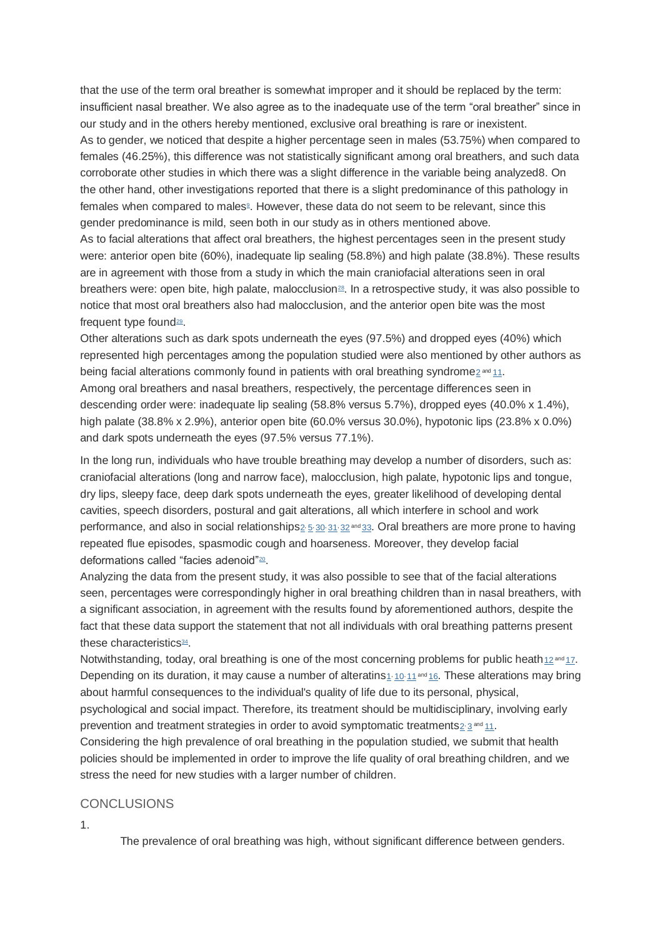that the use of the term oral breather is somewhat improper and it should be replaced by the term: insufficient nasal breather. We also agree as to the inadequate use of the term "oral breather" since in our study and in the others hereby mentioned, exclusive oral breathing is rare or inexistent. As to gender, we noticed that despite a higher percentage seen in males (53.75%) when compared to females (46.25%), this difference was not statistically significant among oral breathers, and such data corroborate other studies in which there was a slight difference in the variable being analyzed8. On the other hand, other investigations reported that there is a slight predominance of this pathology in females when compared to malesª[.](http://www.sciencedirect.com/science/article/pii/S1808869415309757#bib9) However, these data do not seem to be relevant, since this gender predominance is mild, seen both in our study as in others mentioned above.

As to facial alterations that affect oral breathers, the highest percentages seen in the present study were: anterior open bite (60%), inadequate lip sealing (58.8%) and high palate (38.8%). These results are in agreement with those from a study in which the main craniofacial alterations seen in oral breathers were: open bite, high palate, malocclusion<sup>[28](http://www.sciencedirect.com/science/article/pii/S1808869415309757#bib28)</sup>. In a retrospective study, it was also possible to notice that most oral breathers also had malocclusion, and the anterior open bite was the most frequent type found<sup>[29](http://www.sciencedirect.com/science/article/pii/S1808869415309757#bib29)</sup>.

Other alterations such as dark spots underneath the eyes (97.5%) and dropped eyes (40%) which represented high percentages among the population studied were also mentioned by other authors as being facial alterations commonly found in patients with oral breathing syndrome $_2$  $_2$ <sup>and</sup> [11](http://www.sciencedirect.com/science/article/pii/S1808869415309757#bib11). Among oral breathers and nasal breathers, respectively, the percentage differences seen in descending order were: inadequate lip sealing (58.8% versus 5.7%), dropped eyes (40.0% x 1.4%), high palate (38.8% x 2.9%), anterior open bite (60.0% versus 30.0%), hypotonic lips (23.8% x 0.0%) and dark spots underneath the eyes (97.5% versus 77.1%).

In the long run, individuals who have trouble breathing may develop a number of disorders, such as: craniofacial alterations (long and narrow face), malocclusion, high palate, hypotonic lips and tongue, dry lips, sleepy face, deep dark spots underneath the eyes, greater likelihood of developing dental cavities, speech disorders, postural and gait alterations, all which interfere in school and work performance, and also in social relationships<sub>[2](http://www.sciencedirect.com/science/article/pii/S1808869415309757#bib2): [5](http://www.sciencedirect.com/science/article/pii/S1808869415309757#bib5):</sub> [30](http://www.sciencedirect.com/science/article/pii/S1808869415309757#bib30), [31](http://www.sciencedirect.com/science/article/pii/S1808869415309757#bib31), [32](http://www.sciencedirect.com/science/article/pii/S1808869415309757#bib32) and [33](http://www.sciencedirect.com/science/article/pii/S1808869415309757#bib33). Oral breathers are more prone to having repeated flue episodes, spasmodic cough and hoarseness. Moreover, they develop facial deformations called "facies adenoid"<sup>[20](http://www.sciencedirect.com/science/article/pii/S1808869415309757#bib20)</sup>.

Analyzing the data from the present study, it was also possible to see that of the facial alterations seen, percentages were correspondingly higher in oral breathing children than in nasal breathers, with a significant association, in agreement with the results found by aforementioned authors, despite the fact that these data support the statement that not all individuals with oral breathing patterns present these characteristics<sup>[34](http://www.sciencedirect.com/science/article/pii/S1808869415309757#bib34)</sup>.

Notwithstanding, today, oral breathing is one of the most concerning problems for public heath[12](http://www.sciencedirect.com/science/article/pii/S1808869415309757#bib12) and [17](http://www.sciencedirect.com/science/article/pii/S1808869415309757#bib17). Depending on its duration, it may cause a number of alteratins $1\cdot 10\cdot 11$  $1\cdot 10\cdot 11$  $1\cdot 10\cdot 11$  $1\cdot 10\cdot 11$  $1\cdot 10\cdot 11$  and [16](http://www.sciencedirect.com/science/article/pii/S1808869415309757#bib16). These alterations may bring about harmful consequences to the individual's quality of life due to its personal, physical, psychological and social impact. Therefore, its treatment should be multidisciplinary, involving early prevention and treatment strategies in order to avoid symptomatic treatments<sub>[2](http://www.sciencedirect.com/science/article/pii/S1808869415309757#bib2):[3](http://www.sciencedirect.com/science/article/pii/S1808869415309757#bib3)</sub> and [11](http://www.sciencedirect.com/science/article/pii/S1808869415309757#bib11).

Considering the high prevalence of oral breathing in the population studied, we submit that health policies should be implemented in order to improve the life quality of oral breathing children, and we stress the need for new studies with a larger number of children.

### **CONCLUSIONS**

1.

The prevalence of oral breathing was high, without significant difference between genders.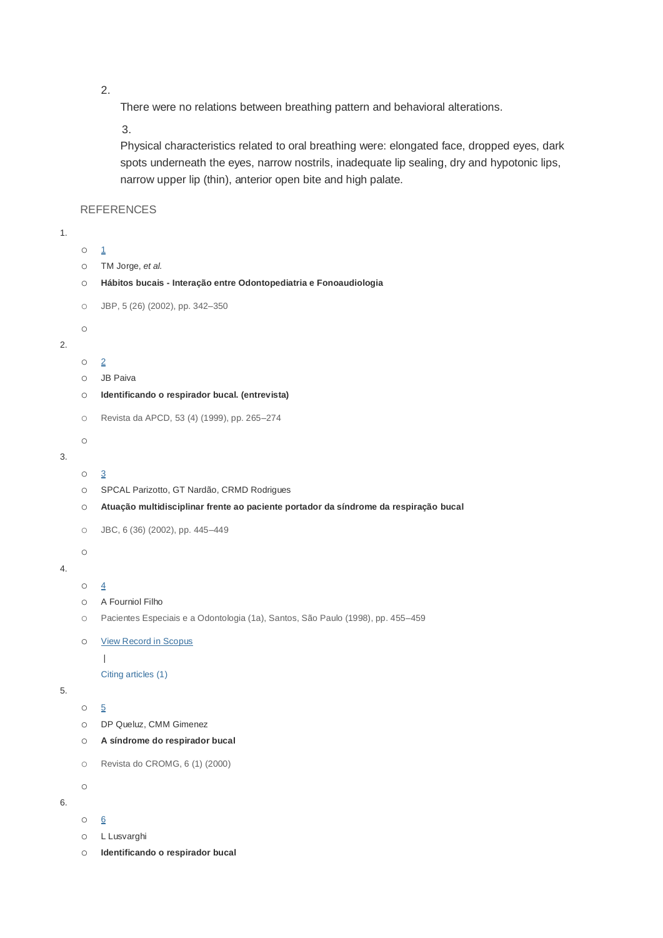2.

There were no relations between breathing pattern and behavioral alterations.

3.

Physical characteristics related to oral breathing were: elongated face, dropped eyes, dark spots underneath the eyes, narrow nostrils, inadequate lip sealing, dry and hypotonic lips, narrow upper lip (thin), anterior open bite and high palate.

**REFERENCES** 

1.

```
1}{2}o TM Jorge, et al.
    o Hábitos bucais - Interação entre Odontopediatria e Fonoaudiologia
    o JBP, 5 (26) (2002), pp. 342–350
    o
2.
    \circ2
    o JB Paiva
    o Identificando o respirador bucal. (entrevista)
    o Revista da APCD, 53 (4) (1999), pp. 265–274
    o
3.
    \circ 3}{2}o SPCAL Parizotto, GT Nardão, CRMD Rodrigues
    o Atuação multidisciplinar frente ao paciente portador da síndrome da respiração bucal
    o JBC, 6 (36) (2002), pp. 445–449
    o
4.
    \circ 4}{5}o A Fourniol Filho
    o Pacientes Especiais e a Odontologia (1a), Santos, São Paulo (1998), pp. 455–459
    o View Record in Scopus
         \overline{\phantom{a}}Citing articles (1)
5.
    5}{2}o DP Queluz, CMM Gimenez
    o A síndrome do respirador bucal
    o Revista do CROMG, 6 (1) (2000)
    o
6.
    6o L Lusvarghi
    o Identificando o respirador bucal
```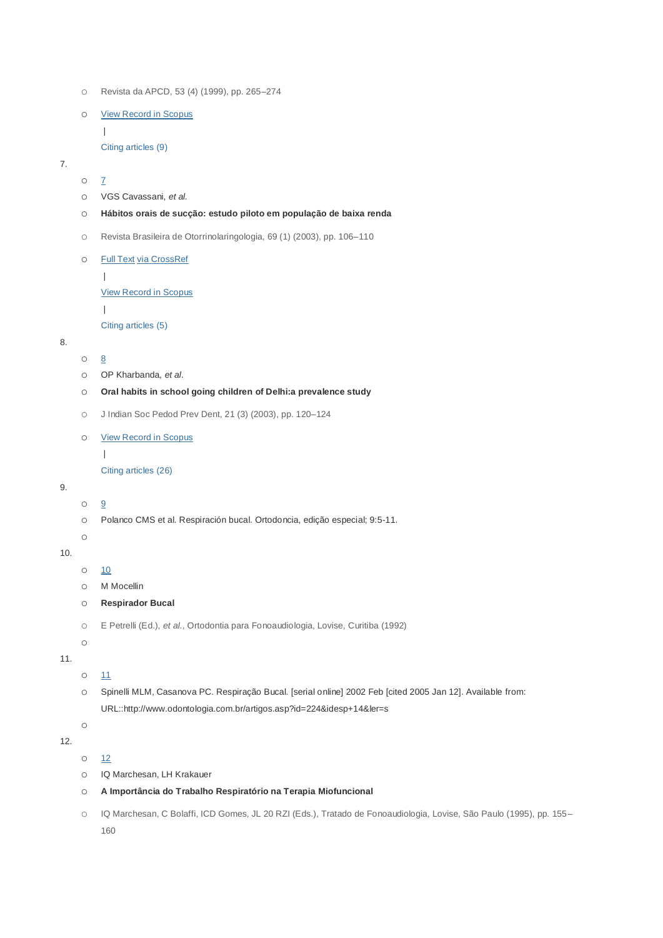- o Revista da APCD, 53 (4) (1999), pp. 265–274
- o [View Record in Scopus](http://www.scopus.com/inward/record.url?eid=2-s2.0-33747443611&partnerID=10&rel=R3.0.0&md5=01a651026218e067ab0d0550e9ba6b2e)

| [Citing articles \(9\)](http://www.scopus.com/inward/citedby.url?eid=2-s2.0-33747443611&partnerID=10&rel=R3.0.0&md5=01a651026218e067ab0d0550e9ba6b2e)

7.

- $O$   $\overline{I}$
- o VGS Cavassani, *et al.*
- o **Hábitos orais de sucção: estudo piloto em população de baixa renda**
- o Revista Brasileira de Otorrinolaringologia, 69 (1) (2003), pp. 106–110
- o Full Text [via CrossRef](http://dx.doi.org/10.1590%2FS0034-72992003000100017)

|

[View Record in Scopus](http://www.scopus.com/inward/record.url?eid=2-s2.0-2542440712&partnerID=10&rel=R3.0.0&md5=d2fe3259e2e0c80225ef1fc190f6a057)

|

[Citing articles \(5\)](http://www.scopus.com/inward/citedby.url?eid=2-s2.0-2542440712&partnerID=10&rel=R3.0.0&md5=d2fe3259e2e0c80225ef1fc190f6a057)

### 8.

- $\circ$  [8](http://www.sciencedirect.com/science/article/pii/S1808869415309757#bib8)
- o OP Kharbanda, *et al.*

o **Oral habits in school going children of Delhi:a prevalence study**

o J Indian Soc Pedod Prev Dent, 21 (3) (2003), pp. 120–124

#### o [View Record in Scopus](http://www.scopus.com/inward/record.url?eid=2-s2.0-1542318249&partnerID=10&rel=R3.0.0&md5=5594899d59c437d5af24de4e34fdc3d7)

|

[Citing articles \(26\)](http://www.scopus.com/inward/citedby.url?eid=2-s2.0-1542318249&partnerID=10&rel=R3.0.0&md5=5594899d59c437d5af24de4e34fdc3d7)

## 9.

 $\circ$   $\frac{9}{2}$  $\frac{9}{2}$  $\frac{9}{2}$ 

- o Polanco CMS et al. Respiración bucal. Ortodoncia, edição especial; 9:5-11.
- o

#### 10.

- o [10](http://www.sciencedirect.com/science/article/pii/S1808869415309757#bib10)
- o M Mocellin
- o **Respirador Bucal**

```
o E Petrelli (Ed.), et al., Ortodontia para Fonoaudiologia, Lovise, Curitiba (1992)
```
o

11.

- $0$   $11$
- o Spinelli MLM, Casanova PC. Respiração Bucal. [serial online] 2002 Feb [cited 2005 Jan 12]. Available from: URL::http://www.odontologia.com.br/artigos.asp?id=224&idesp+14&ler=s

o

```
12.
```
 $0$   $12$ 

- o IQ Marchesan, LH Krakauer
- o **A Importância do Trabalho Respiratório na Terapia Miofuncional**
- o IQ Marchesan, C Bolaffi, ICD Gomes, JL 20 RZI (Eds.), Tratado de Fonoaudiologia, Lovise, São Paulo (1995), pp. 155– 160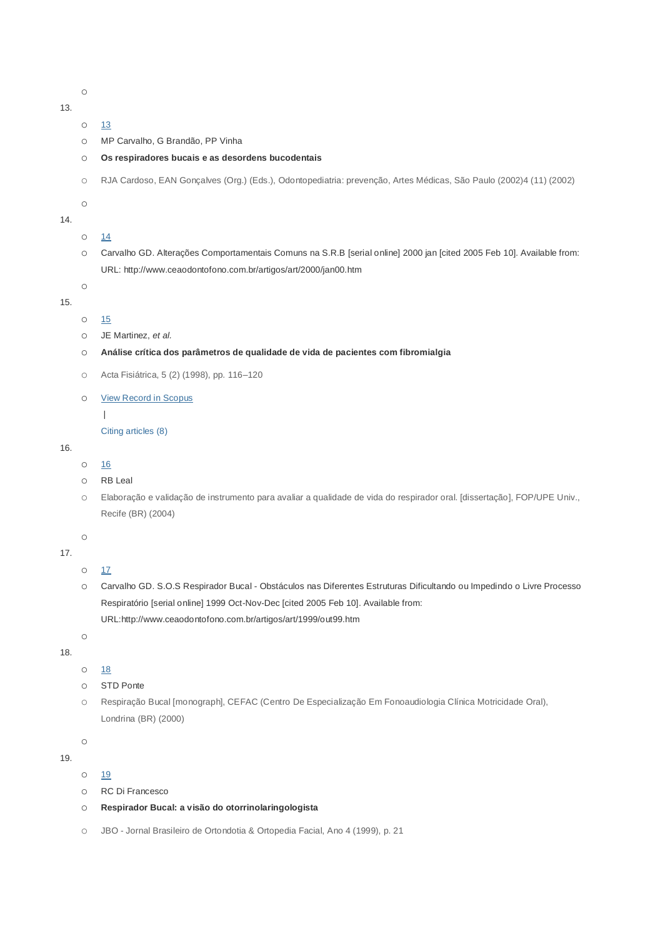13.

- $0$   $13$ o MP Carvalho, G Brandão, PP Vinha
- o **Os respiradores bucais e as desordens bucodentais**
- o RJA Cardoso, EAN Gonçalves (Org.) (Eds.), Odontopediatria: prevenção, Artes Médicas, São Paulo (2002)4 (11) (2002)

o

o

- 14.
- $0$   $14$
- o Carvalho GD. Alterações Comportamentais Comuns na S.R.B [serial online] 2000 jan [cited 2005 Feb 10]. Available from: URL: http://www.ceaodontofono.com.br/artigos/art/2000/jan00.htm

15.

```
o 15
```
- o JE Martinez, *et al.*
- o **Análise crítica dos parâmetros de qualidade de vida de pacientes com fibromialgia**
- o Acta Fisiátrica, 5 (2) (1998), pp. 116–120
- o [View Record in Scopus](http://www.scopus.com/inward/record.url?eid=2-s2.0-33749188145&partnerID=10&rel=R3.0.0&md5=646c3c88f2a3fdc907ca6324a7944e7a)
	- |
	- [Citing articles \(8\)](http://www.scopus.com/inward/citedby.url?eid=2-s2.0-33749188145&partnerID=10&rel=R3.0.0&md5=646c3c88f2a3fdc907ca6324a7944e7a)

```
16.
```
- $\circ$  [16](http://www.sciencedirect.com/science/article/pii/S1808869415309757#bib16)
- o RB Leal
- o Elaboração e validação de instrumento para avaliar a qualidade de vida do respirador oral. [dissertação], FOP/UPE Univ., Recife (BR) (2004)

o

17.

```
0 17
```
o Carvalho GD. S.O.S Respirador Bucal - Obstáculos nas Diferentes Estruturas Dificultando ou Impedindo o Livre Processo Respiratório [serial online] 1999 Oct-Nov-Dec [cited 2005 Feb 10]. Available from: URL:http://www.ceaodontofono.com.br/artigos/art/1999/out99.htm

o

- 18.
- o [18](http://www.sciencedirect.com/science/article/pii/S1808869415309757#bib18)
- o STD Ponte
- o Respiração Bucal [monograph], CEFAC (Centro De Especialização Em Fonoaudiologia Clínica Motricidade Oral), Londrina (BR) (2000)

19.

o

o [19](http://www.sciencedirect.com/science/article/pii/S1808869415309757#bib19)

- o RC Di Francesco
- o **Respirador Bucal: a visão do otorrinolaringologista**
- o JBO Jornal Brasileiro de Ortondotia & Ortopedia Facial, Ano 4 (1999), p. 21

o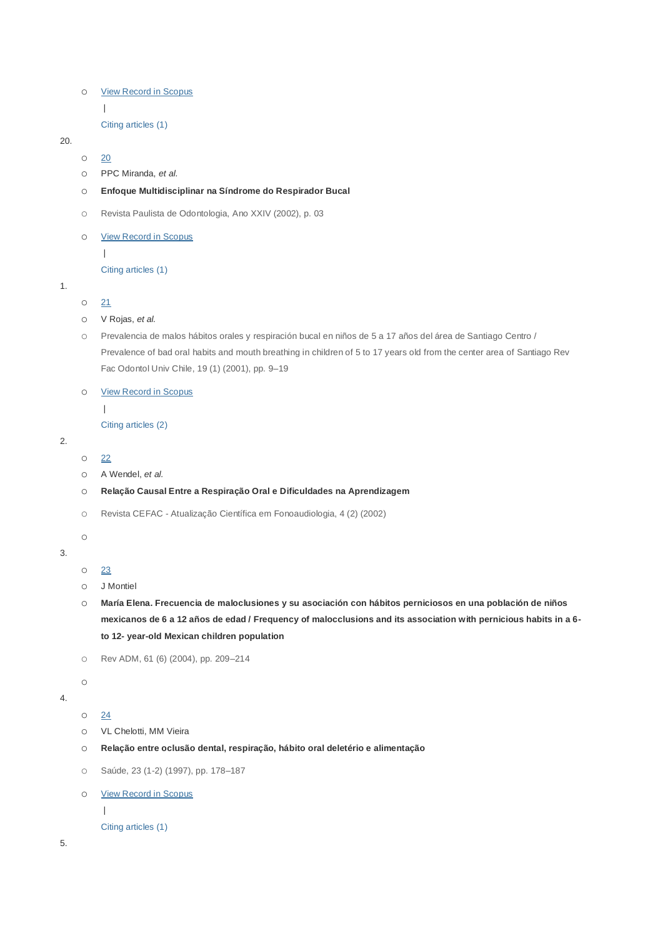```
o View Record in Scopus
```
|

[Citing articles \(1\)](http://www.scopus.com/inward/citedby.url?eid=2-s2.0-84859291082&partnerID=10&rel=R3.0.0&md5=cd2a0e397568ab51eef9de57ac5bed28)

### 20.

 $\circ$  [20](http://www.sciencedirect.com/science/article/pii/S1808869415309757#bib20)

o PPC Miranda, *et al.*

#### o **Enfoque Multidisciplinar na Síndrome do Respirador Bucal**

- o Revista Paulista de Odontologia, Ano XXIV (2002), p. 03
- o [View Record in Scopus](http://www.scopus.com/inward/record.url?eid=2-s2.0-84859290013&partnerID=10&rel=R3.0.0&md5=cf5b86701062a2ba5c4d721b4a6523b3)

|

[Citing articles \(1\)](http://www.scopus.com/inward/citedby.url?eid=2-s2.0-84859290013&partnerID=10&rel=R3.0.0&md5=cf5b86701062a2ba5c4d721b4a6523b3)

1.

```
0 21
```
- o V Rojas, *et al.*
- o Prevalencia de malos hábitos orales y respiración bucal en niños de 5 a 17 años del área de Santiago Centro / Prevalence of bad oral habits and mouth breathing in children of 5 to 17 years old from the center area of Santiago Rev Fac Odontol Univ Chile, 19 (1) (2001), pp. 9–19

### o [View Record in Scopus](http://www.scopus.com/inward/record.url?eid=2-s2.0-33749181608&partnerID=10&rel=R3.0.0&md5=8e66c55de176d60cd78fb9ed3c9cce22)

|

[Citing articles \(2\)](http://www.scopus.com/inward/citedby.url?eid=2-s2.0-33749181608&partnerID=10&rel=R3.0.0&md5=8e66c55de176d60cd78fb9ed3c9cce22)

- 2.
- o [22](http://www.sciencedirect.com/science/article/pii/S1808869415309757#bib22)
- o A Wendel, *et al.*
- o **Relação Causal Entre a Respiração Oral e Dificuldades na Aprendizagem**
- o Revista CEFAC Atualização Científica em Fonoaudiologia, 4 (2) (2002)
- o
- 3.
- o [23](http://www.sciencedirect.com/science/article/pii/S1808869415309757#bib23)
- o J Montiel
- o **María Elena. Frecuencia de maloclusiones y su asociación con hábitos perniciosos en una población de niños mexicanos de 6 a 12 años de edad / Frequency of malocclusions and its association with pernicious habits in a 6 to 12- year-old Mexican children population**
- o Rev ADM, 61 (6) (2004), pp. 209–214
- 
- 4.
- $0$   $24$

o

- o VL Chelotti, MM Vieira
- o **Relação entre oclusão dental, respiração, hábito oral deletério e alimentação**
- o Saúde, 23 (1-2) (1997), pp. 178–187
- o [View Record in Scopus](http://www.scopus.com/inward/record.url?eid=2-s2.0-84859282676&partnerID=10&rel=R3.0.0&md5=f571e1ecc338073c199d4a5bc4b8532b)
	-

|

```
Citing articles (1)
```
5.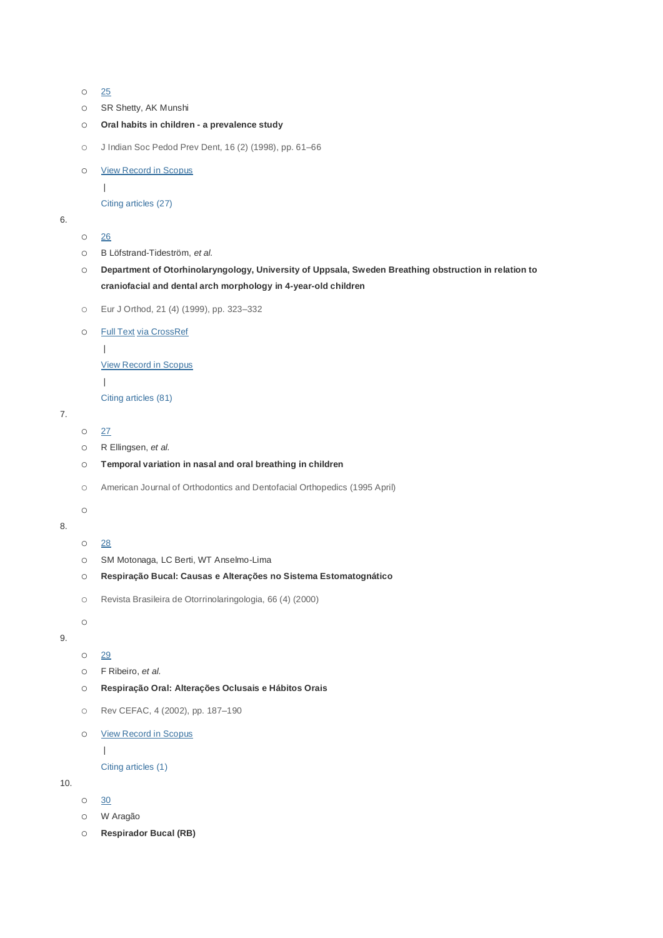```
o 25
```

```
o SR Shetty, AK Munshi
```

```
o Oral habits in children - a prevalence study
```
o J Indian Soc Pedod Prev Dent, 16 (2) (1998), pp. 61–66

```
o View Record in Scopus
```

```
|
```
[Citing articles \(27\)](http://www.scopus.com/inward/citedby.url?eid=2-s2.0-0032097947&partnerID=10&rel=R3.0.0&md5=09dad2304ee3934fc9d1250e05181bd8)

```
6.
```

```
o 26
```
- o B Löfstrand-Tideström, *et al.*
- o **Department of Otorhinolaryngology, University of Uppsala, Sweden Breathing obstruction in relation to craniofacial and dental arch morphology in 4-year-old children**
- o Eur J Orthod, 21 (4) (1999), pp. 323–332

```
o Full Text via CrossRef
```

```
\|
```
[View Record in Scopus](http://www.scopus.com/inward/record.url?eid=2-s2.0-0347719916&partnerID=10&rel=R3.0.0&md5=1d9be05a021b38586bc71f563c7341bd)

```
|
```
[Citing articles \(81\)](http://www.scopus.com/inward/citedby.url?eid=2-s2.0-0347719916&partnerID=10&rel=R3.0.0&md5=1d9be05a021b38586bc71f563c7341bd)

```
7.
```

```
0 27
```
- o R Ellingsen, *et al.*
- o **Temporal variation in nasal and oral breathing in children**
- o American Journal of Orthodontics and Dentofacial Orthopedics (1995 April)

o

```
8.
```
- o [28](http://www.sciencedirect.com/science/article/pii/S1808869415309757#bib28)
- o SM Motonaga, LC Berti, WT Anselmo-Lima
- o **Respiração Bucal: Causas e Alterações no Sistema Estomatognático**
- o Revista Brasileira de Otorrinolaringologia, 66 (4) (2000)

o

```
9.
```

```
o 29
```
- o F Ribeiro, *et al.*
- o **Respiração Oral: Alterações Oclusais e Hábitos Orais**
- o Rev CEFAC, 4 (2002), pp. 187–190
- o [View Record in Scopus](http://www.scopus.com/inward/record.url?eid=2-s2.0-80051770918&partnerID=10&rel=R3.0.0&md5=40866f988f836f739b6d1d06238fb30d)

|

[Citing articles \(1\)](http://www.scopus.com/inward/citedby.url?eid=2-s2.0-80051770918&partnerID=10&rel=R3.0.0&md5=40866f988f836f739b6d1d06238fb30d)

10.

- o [30](http://www.sciencedirect.com/science/article/pii/S1808869415309757#bib30)
- o W Aragão
- o **Respirador Bucal (RB)**